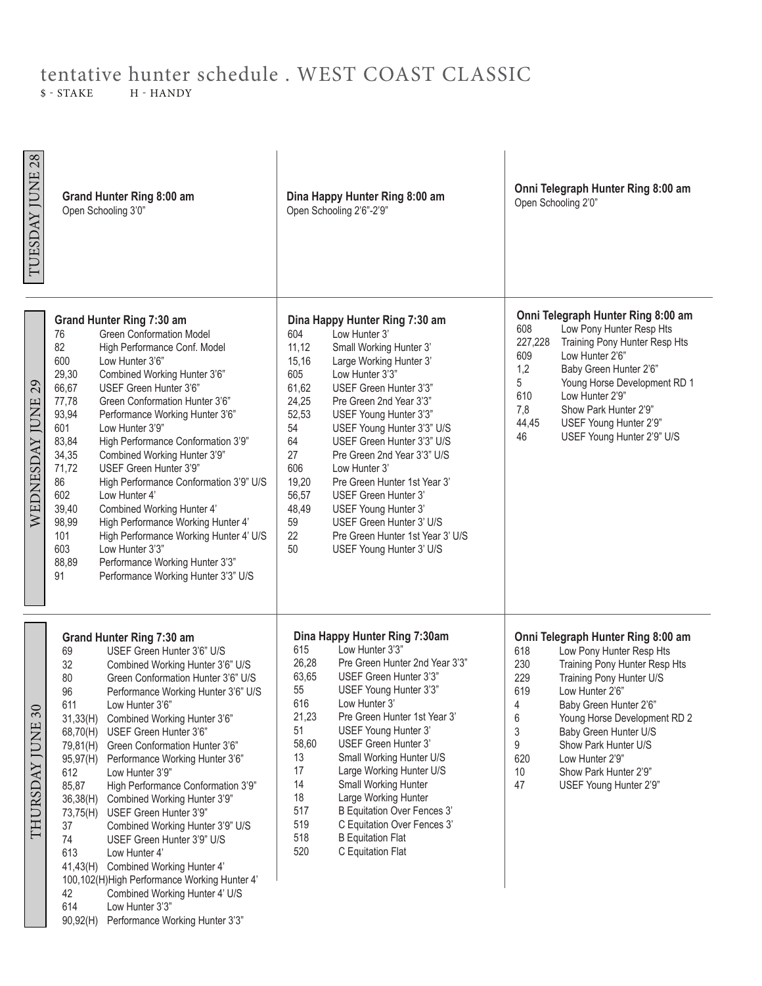## tentative hunter schedule . WEST COAST CLASSIC<br>\$ - STAKE H - HANDY H - HANDY

TUESDAY JUNE 28 TUESDAY JUNE 28 **Onni Telegraph Hunter Ring 8:00 am Grand Hunter Ring 8:00 am Dina Happy Hunter Ring 8:00 am** Open Schooling 2'0"Open Schooling 3'0" Open Schooling 2'6"-2'9" **Onni Telegraph Hunter Ring 8:00 am Grand Hunter Ring 7:30 am Dina Happy Hunter Ring 7:30 am** 608 Low Pony Hunter Resp Hts<br>227.228 Training Pony Hunter Resp 76 Green Conformation Model<br>82 High Performance Conf. Mo 604 Low Hunter 3' 227,228 Training Pony Hunter Resp Hts<br>609 Low Hunter 2'6" High Performance Conf. Model 11,12 Small Working Hunter 3' 609 Low Hunter 2'6" 15,16 Large Working Hunter 3' 600 Low Hunter 3'6" 1,2 Baby Green Hunter 2'6"<br>5 Young Horse Developme 29,30 Combined Working Hunter 3'6" 605 Low Hunter 3'3" Young Horse Development RD 1 29 WEDNESDAY JUNE 29 66,67 USEF Green Hunter 3'6" 61,62 USEF Green Hunter 3'3" 610 Low Hunter 2'9" WEDNESDAY JUNE 77,78 Green Conformation Hunter 3'6" 24,25 Pre Green 2nd Year 3'3" Show Park Hunter 2'9" 93,94 Performance Working Hunter 3'6" 52,53 USEF Young Hunter 3'3" 44,45 USEF Young Hunter 2'9" 601 Low Hunter 3'9" 54 USEF Young Hunter 3'3" U/S<br>64 USEF Green Hunter 3'3" U/S 46 USEF Young Hunter 2'9" U/S USEF Green Hunter 3'3" U/S 83,84 High Performance Conformation 3'9" 34,35 Combined Working Hunter 3'9" 27 Pre Green 2nd Year 3'3" U/S<br>606 I ow Hunter 3' 71,72 USEF Green Hunter 3'9" 606 Low Hunter 3'<br>19.20 Pre Green Hui 86 High Performance Conformation 3'9" U/S Pre Green Hunter 1st Year 3' 602 Low Hunter 4' 56,57 USEF Green Hunter 3' 48,49 USEF Young Hunter 3' 39,40 Combined Working Hunter 4' 98,99 High Performance Working Hunter 4' 59 USEF Green Hunter 3' U/S 101 High Performance Working Hunter 4' U/S 22 Pre Green Hunter 1st Year 3' U/S<br>50 USEF Young Hunter 3' U/S 603 Low Hunter 3'3" USEF Young Hunter 3' U/S 88,89 Performance Working Hunter 3'3" 91 Performance Working Hunter 3'3" U/S **Dina Happy Hunter Ring 7:30am**<br>615 Low Hunter 3'3" **Onni Telegraph Hunter Ring 8:00 am Grand Hunter Ring 7:30 am** Low Hunter 3'3" 618 Low Pony Hunter Resp Hts<br>230 Training Pony Hunter Resp 69 USEF Green Hunter 3'6" U/S 32 Combined Working Hunter 3'6" U/S 26,28 Pre Green Hunter 2nd Year 3'3" 230 Training Pony Hunter Resp Hts<br>229 Training Pony Hunter U/S 63,65 USEF Green Hunter 3'3" Training Pony Hunter U/S 80 Green Conformation Hunter 3'6" U/S<br>96 Performance Working Hunter 3'6" U/S 55 USEF Young Hunter 3'3" 619 Low Hunter 2'6" 96 Performance Working Hunter 3'6" U/S<br>611 Low Hunter 3'6" Low Hunter 3'6" 616 Low Hunter 3' 4 Baby Green Hunter 2'6"<br>6 Young Horse Developme 30 THURSDAY JUNE 30 31,33(H) Combined Working Hunter 3'6" 21,23 Pre Green Hunter 1st Year 3' 6 Young Horse Development RD 2<br>3 Baby Green Hunter U/S THURSDAY JUNE 68,70(H) USEF Green Hunter 3'6" 51 USEF Young Hunter 3' Baby Green Hunter U/S 58,60 USEF Green Hunter 3' 9 Show Park Hunter U/S 79,81(H) Green Conformation Hunter 3'6" 13 Small Working Hunter U/S 95,97(H) Performance Working Hunter 3'6" 620 Low Hunter 2'9" 17 Large Working Hunter U/S 612 Low Hunter 3'9" 10 Show Park Hunter 2'9" 14 Small Working Hunter 47 USEF Young Hunter 2'9" 85,87 High Performance Conformation 3'9" 18 Large Working Hunter 36,38(H) Combined Working Hunter 3'9" 517 B Equitation Over Fences 3' 73,75(H) USEF Green Hunter 3'9" 519 C Equitation Over Fences 3' 37 Combined Working Hunter 3'9" U/S 518 B Equitation Flat 74 USEF Green Hunter 3'9" U/S<br>613 Low Hunter 4' 520 C Equitation Flat Low Hunter 4' 41,43(H) Combined Working Hunter 4' 100,102(H)High Performance Working Hunter 4' 42 Combined Working Hunter 4' U/S 614 Low Hunter 3'3" 90,92(H) Performance Working Hunter 3'3"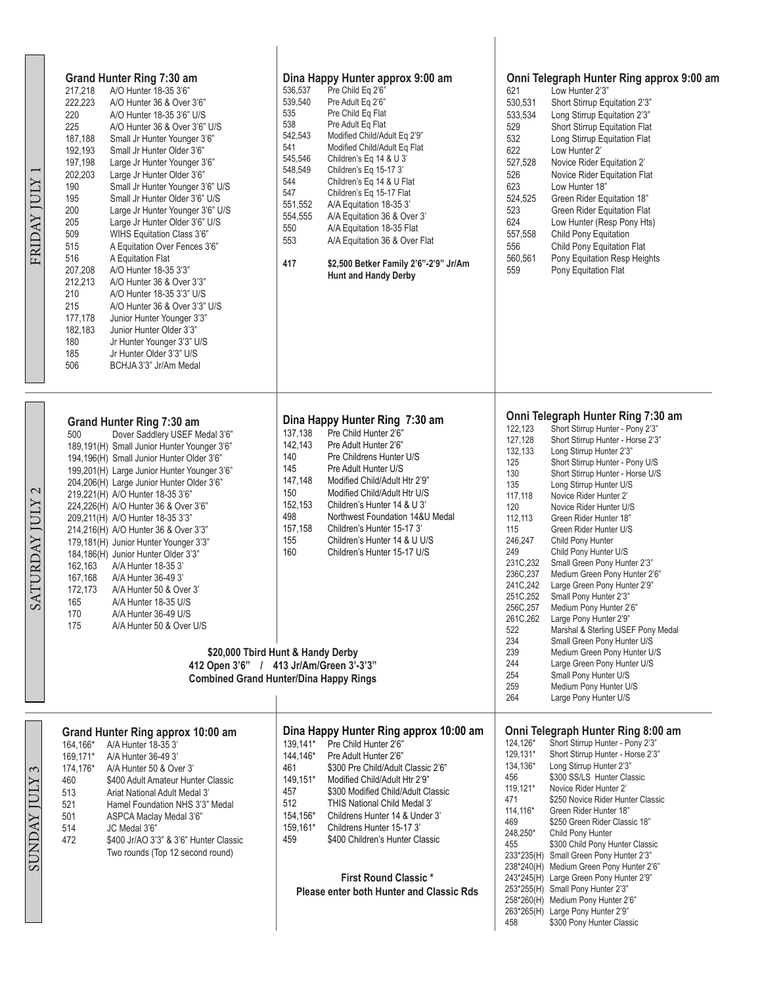| FRIDAY JULY 1                                            | Grand Hunter Ring 7:30 am<br>217,218<br>A/O Hunter 18-35 3'6"<br>222,223<br>A/O Hunter 36 & Over 3'6"<br>220<br>A/O Hunter 18-35 3'6" U/S<br>225<br>A/O Hunter 36 & Over 3'6" U/S<br>187,188<br>Small Jr Hunter Younger 3'6"<br>192,193<br>Small Jr Hunter Older 3'6"<br>197,198<br>Large Jr Hunter Younger 3'6"<br>202,203<br>Large Jr Hunter Older 3'6"<br>190<br>Small Jr Hunter Younger 3'6" U/S<br>195<br>Small Jr Hunter Older 3'6" U/S<br>200<br>Large Jr Hunter Younger 3'6" U/S<br>205<br>Large Jr Hunter Older 3'6" U/S<br>509<br>WIHS Equitation Class 3'6"<br>515<br>A Equitation Over Fences 3'6"<br>516<br>A Equitation Flat<br>207,208<br>A/O Hunter 18-35 3'3"<br>212,213<br>A/O Hunter 36 & Over 3'3"<br>210<br>A/O Hunter 18-35 3'3" U/S<br>215<br>A/O Hunter 36 & Over 3'3" U/S<br>177,178<br>Junior Hunter Younger 3'3"<br>182,183<br>Junior Hunter Older 3'3"<br>180<br>Jr Hunter Younger 3'3" U/S<br>185<br>Jr Hunter Older 3'3" U/S<br>506<br>BCHJA 3'3" Jr/Am Medal | Dina Happy Hunter approx 9:00 am<br>536,537<br>Pre Child Eq 2'6"<br>539,540<br>Pre Adult Eq 2'6"<br>Pre Child Eq Flat<br>535<br>538<br>Pre Adult Eq Flat<br>542,543<br>Modified Child/Adult Eq 2'9"<br>541<br>Modified Child/Adult Eq Flat<br>545,546<br>Children's Eq 14 & U 3'<br>548,549<br>Children's Eq 15-17 3'<br>544<br>Children's Eq 14 & U Flat<br>547<br>Children's Eq 15-17 Flat<br>551,552<br>A/A Equitation 18-35 3'<br>554,555<br>A/A Equitation 36 & Over 3'<br>550<br>A/A Equitation 18-35 Flat<br>553<br>A/A Equitation 36 & Over Flat<br>417<br>\$2,500 Betker Family 2'6"-2'9" Jr/Am<br>Hunt and Handy Derby | Onni Telegraph Hunter Ring approx 9:00 am<br>621<br>Low Hunter 2'3"<br>530,531<br>Short Stirrup Equitation 2'3"<br>Long Stirrup Equitation 2'3"<br>533,534<br>529<br>Short Stirrup Equitation Flat<br>532<br>Long Stirrup Equitation Flat<br>Low Hunter 2'<br>622<br>527,528<br>Novice Rider Equitation 2'<br>526<br>Novice Rider Equitation Flat<br>623<br>Low Hunter 18"<br>524,525<br>Green Rider Equitation 18"<br>523<br>Green Rider Equitation Flat<br>624<br>Low Hunter (Resp Pony Hts)<br>Child Pony Equitation<br>557,558<br>Child Pony Equitation Flat<br>556<br>560,561<br>Pony Equitation Resp Heights<br>559<br>Pony Equitation Flat                                                                                                                                                                                                                                                                                                                                                                                        |
|----------------------------------------------------------|---------------------------------------------------------------------------------------------------------------------------------------------------------------------------------------------------------------------------------------------------------------------------------------------------------------------------------------------------------------------------------------------------------------------------------------------------------------------------------------------------------------------------------------------------------------------------------------------------------------------------------------------------------------------------------------------------------------------------------------------------------------------------------------------------------------------------------------------------------------------------------------------------------------------------------------------------------------------------------------------|----------------------------------------------------------------------------------------------------------------------------------------------------------------------------------------------------------------------------------------------------------------------------------------------------------------------------------------------------------------------------------------------------------------------------------------------------------------------------------------------------------------------------------------------------------------------------------------------------------------------------------|------------------------------------------------------------------------------------------------------------------------------------------------------------------------------------------------------------------------------------------------------------------------------------------------------------------------------------------------------------------------------------------------------------------------------------------------------------------------------------------------------------------------------------------------------------------------------------------------------------------------------------------------------------------------------------------------------------------------------------------------------------------------------------------------------------------------------------------------------------------------------------------------------------------------------------------------------------------------------------------------------------------------------------------|
| $\mathcal{L}$<br><b>ATURDAY JULY</b><br>$\tilde{\infty}$ | <b>Grand Hunter Ring 7:30 am</b><br>Dover Saddlery USEF Medal 3'6"<br>500<br>189,191(H) Small Junior Hunter Younger 3'6"<br>194,196(H) Small Junior Hunter Older 3'6"<br>199,201(H) Large Junior Hunter Younger 3'6"<br>204,206(H) Large Junior Hunter Older 3'6"<br>219,221(H) A/O Hunter 18-35 3'6"<br>224,226(H) A/O Hunter 36 & Over 3'6"<br>209,211(H) A/O Hunter 18-35 3'3"<br>214,216(H) A/O Hunter 36 & Over 3'3"<br>179,181(H) Junior Hunter Younger 3'3"<br>184,186(H) Junior Hunter Older 3'3"<br>162,163<br>A/A Hunter 18-35 3'<br>167.168<br>A/A Hunter 36-49 3'<br>172,173<br>A/A Hunter 50 & Over 3'<br>165<br>A/A Hunter 18-35 U/S<br>170<br>A/A Hunter 36-49 U/S<br>175<br>A/A Hunter 50 & Over U/S                                                                                                                                                                                                                                                                        | Dina Happy Hunter Ring 7:30 am<br>137,138<br>Pre Child Hunter 2'6"<br>142,143<br>Pre Adult Hunter 2'6"<br>140<br>Pre Childrens Hunter U/S<br>145<br>Pre Adult Hunter U/S<br>147,148<br>Modified Child/Adult Htr 2'9"<br>150<br>Modified Child/Adult Htr U/S<br>152,153<br>Children's Hunter 14 & U 3'<br>498<br>Northwest Foundation 14&U Medal<br>157,158<br>Children's Hunter 15-17 3'<br>155<br>Children's Hunter 14 & U U/S<br>160<br>Children's Hunter 15-17 U/S<br>\$20,000 Tbird Hunt & Handy Derby<br>412 Open 3'6" / 413 Jr/Am/Green 3'-3'3"<br><b>Combined Grand Hunter/Dina Happy Rings</b>                           | Onni Telegraph Hunter Ring 7:30 am<br>Short Stirrup Hunter - Pony 2'3"<br>122,123<br>127,128<br>Short Stirrup Hunter - Horse 2'3"<br>Long Stirrup Hunter 2'3"<br>132,133<br>125<br>Short Stirrup Hunter - Pony U/S<br>130<br>Short Stirrup Hunter - Horse U/S<br>135<br>Long Stirrup Hunter U/S<br>117,118<br>Novice Rider Hunter 2'<br>120<br>Novice Rider Hunter U/S<br>112,113<br>Green Rider Hunter 18"<br>115<br>Green Rider Hunter U/S<br>246,247<br>Child Pony Hunter<br>249<br>Child Pony Hunter U/S<br>231C,232<br>Small Green Pony Hunter 2'3"<br>236C,237<br>Medium Green Pony Hunter 2'6"<br>241C, 242<br>Large Green Pony Hunter 2'9"<br>251C,252<br>Small Pony Hunter 2'3"<br>256C, 257<br>Medium Pony Hunter 2'6"<br>261C, 262<br>Large Pony Hunter 2'9"<br>522<br>Marshal & Sterling USEF Pony Medal<br>234<br>Small Green Pony Hunter U/S<br>239<br>Medium Green Pony Hunter U/S<br>244<br>Large Green Pony Hunter U/S<br>254<br>Small Pony Hunter U/S<br>259<br>Medium Pony Hunter U/S<br>264<br>Large Pony Hunter U/S |
| $\mathfrak{c}$<br><b>XINI XYINIX</b>                     | Grand Hunter Ring approx 10:00 am<br>164,166*<br>A/A Hunter 18-35 3'<br>169,171*<br>A/A Hunter 36-49 3'<br>174,176*<br>A/A Hunter 50 & Over 3'<br>460<br>\$400 Adult Amateur Hunter Classic<br>513<br>Ariat National Adult Medal 3'<br>521<br>Hamel Foundation NHS 3'3" Medal<br>501<br>ASPCA Maclay Medal 3'6"<br>514<br>JC Medal 3'6"<br>472<br>\$400 Jr/AO 3'3" & 3'6" Hunter Classic<br>Two rounds (Top 12 second round)                                                                                                                                                                                                                                                                                                                                                                                                                                                                                                                                                                | Dina Happy Hunter Ring approx 10:00 am<br>139,141*<br>Pre Child Hunter 2'6"<br>144,146*<br>Pre Adult Hunter 2'6"<br>461<br>\$300 Pre Child/Adult Classic 2'6"<br>149,151*<br>Modified Child/Adult Htr 2'9"<br>457<br>\$300 Modified Child/Adult Classic<br>512<br>THIS National Child Medal 3'<br>154,156*<br>Childrens Hunter 14 & Under 3'<br>159,161*<br>Childrens Hunter 15-17 3<br>459<br>\$400 Children's Hunter Classic<br><b>First Round Classic*</b><br><b>Please enter both Hunter and Classic Rds</b>                                                                                                                 | Onni Telegraph Hunter Ring 8:00 am<br>Short Stirrup Hunter - Pony 2'3"<br>124,126*<br>129,131*<br>Short Stirrup Hunter - Horse 2'3"<br>134,136*<br>Long Stirrup Hunter 2'3"<br>\$300 SS/LS Hunter Classic<br>456<br>119,121*<br>Novice Rider Hunter 2'<br>471<br>\$250 Novice Rider Hunter Classic<br>114,116*<br>Green Rider Hunter 18"<br>469<br>\$250 Green Rider Classic 18"<br>248,250*<br>Child Pony Hunter<br>455<br>\$300 Child Pony Hunter Classic<br>233*235(H) Small Green Pony Hunter 2'3"<br>238*240(H) Medium Green Pony Hunter 2'6"<br>243*245(H) Large Green Pony Hunter 2'9"<br>253*255(H) Small Pony Hunter 2'3"<br>258*260(H) Medium Pony Hunter 2'6"<br>263*265(H) Large Pony Hunter 2'9"<br>\$300 Pony Hunter Classic<br>458                                                                                                                                                                                                                                                                                        |

 $\frac{L}{\Box}$